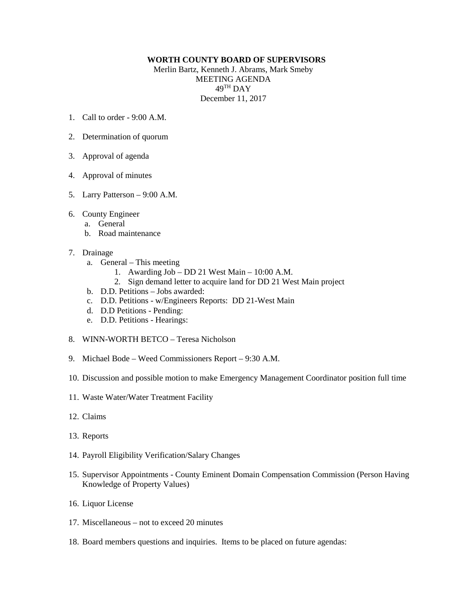## **WORTH COUNTY BOARD OF SUPERVISORS**

Merlin Bartz, Kenneth J. Abrams, Mark Smeby MEETING AGENDA 49TH DAY December 11, 2017

- 1. Call to order  $9.00 \text{ A M}$
- 2. Determination of quorum
- 3. Approval of agenda
- 4. Approval of minutes
- 5. Larry Patterson 9:00 A.M.
- 6. County Engineer
	- a. General
	- b. Road maintenance
- 7. Drainage
	- a. General This meeting
		- 1. Awarding Job DD 21 West Main 10:00 A.M.
		- 2. Sign demand letter to acquire land for DD 21 West Main project
	- b. D.D. Petitions Jobs awarded:
	- c. D.D. Petitions w/Engineers Reports: DD 21-West Main
	- d. D.D Petitions Pending:
	- e. D.D. Petitions Hearings:
- 8. WINN-WORTH BETCO Teresa Nicholson
- 9. Michael Bode Weed Commissioners Report 9:30 A.M.
- 10. Discussion and possible motion to make Emergency Management Coordinator position full time
- 11. Waste Water/Water Treatment Facility
- 12. Claims
- 13. Reports
- 14. Payroll Eligibility Verification/Salary Changes
- 15. Supervisor Appointments County Eminent Domain Compensation Commission (Person Having Knowledge of Property Values)
- 16. Liquor License
- 17. Miscellaneous not to exceed 20 minutes
- 18. Board members questions and inquiries. Items to be placed on future agendas: